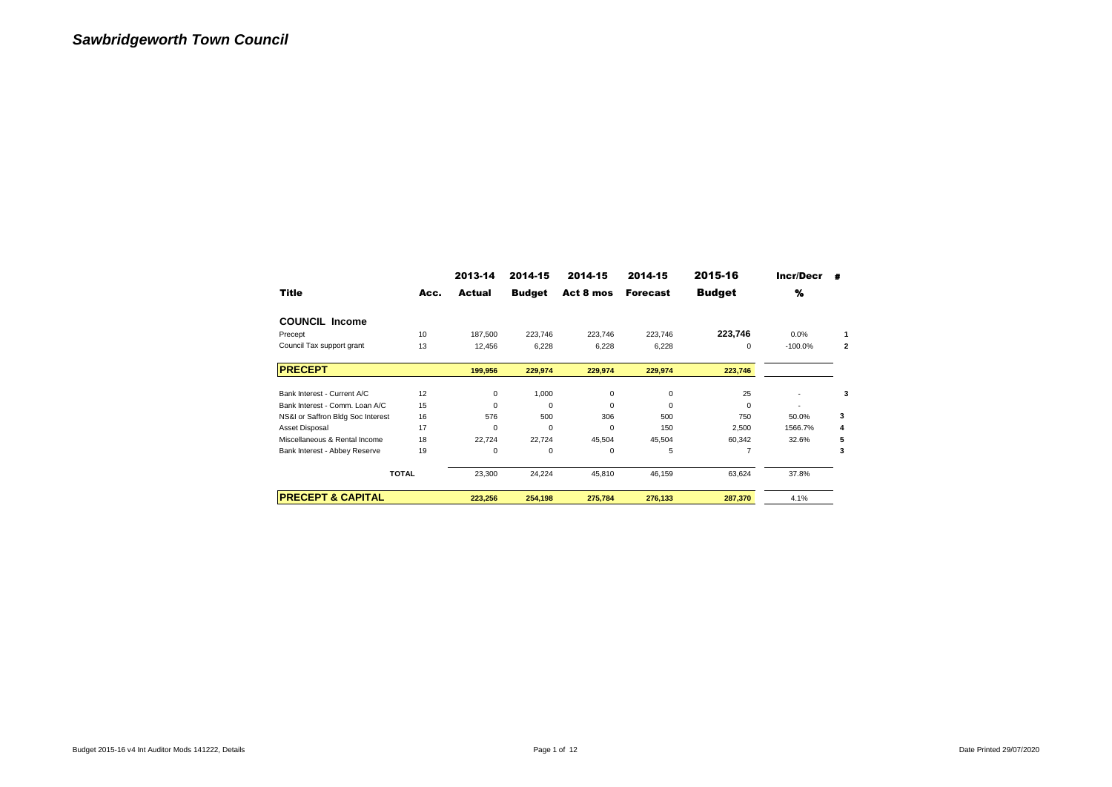|                                   |              | 2013-14  | 2014-15       | 2014-15   | 2014-15         | 2015-16       | Incr/Decr |                |
|-----------------------------------|--------------|----------|---------------|-----------|-----------------|---------------|-----------|----------------|
| <b>Title</b>                      | Acc.         | Actual   | <b>Budget</b> | Act 8 mos | <b>Forecast</b> | <b>Budget</b> | %         |                |
| <b>COUNCIL Income</b>             |              |          |               |           |                 |               |           |                |
| Precept                           | 10           | 187,500  | 223,746       | 223,746   | 223,746         | 223,746       | 0.0%      |                |
| Council Tax support grant         | 13           | 12,456   | 6,228         | 6,228     | 6,228           | 0             | $-100.0%$ | $\overline{2}$ |
| <b>PRECEPT</b>                    |              | 199,956  | 229,974       | 229,974   | 229,974         | 223,746       |           |                |
| Bank Interest - Current A/C       | 12           | 0        | 1,000         | 0         | 0               | 25            |           | 3              |
| Bank Interest - Comm. Loan A/C    | 15           | $\Omega$ | $\Omega$      | $\Omega$  | $\Omega$        | $\Omega$      |           |                |
| NS&I or Saffron Bldg Soc Interest | 16           | 576      | 500           | 306       | 500             | 750           | 50.0%     | 3              |
| Asset Disposal                    | 17           | 0        | $\Omega$      | $\Omega$  | 150             | 2,500         | 1566.7%   | 4              |
| Miscellaneous & Rental Income     | 18           | 22,724   | 22,724        | 45,504    | 45,504          | 60,342        | 32.6%     | 5              |
| Bank Interest - Abbey Reserve     | 19           | 0        | $\mathbf 0$   | 0         | 5               |               |           | 3              |
|                                   | <b>TOTAL</b> | 23,300   | 24,224        | 45,810    | 46,159          | 63,624        | 37.8%     |                |
| <b>PRECEPT &amp; CAPITAL</b>      |              | 223,256  | 254,198       | 275,784   | 276,133         | 287,370       | 4.1%      |                |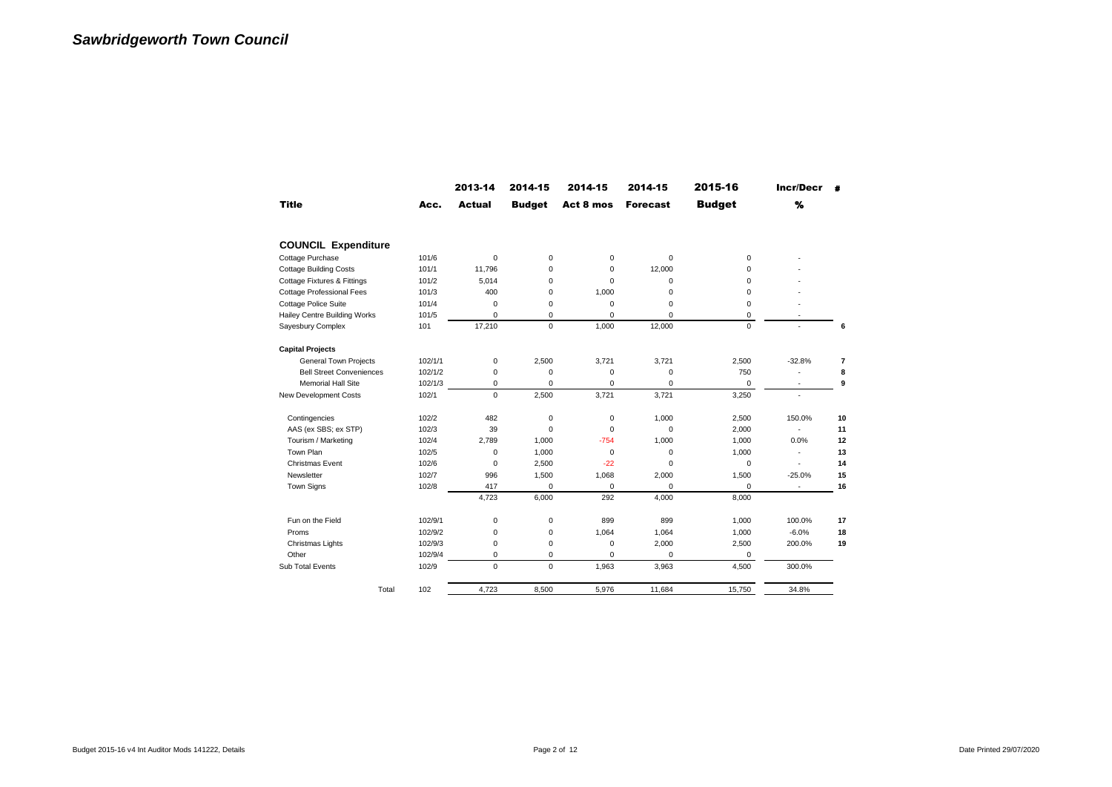|                                        |         | 2013-14       | 2014-15       | 2014-15     | 2014-15         | 2015-16       | Incr/Decr                |    |
|----------------------------------------|---------|---------------|---------------|-------------|-----------------|---------------|--------------------------|----|
| <b>Title</b>                           | Acc.    | <b>Actual</b> | <b>Budget</b> | Act 8 mos   | <b>Forecast</b> | <b>Budget</b> | %                        |    |
|                                        |         |               |               |             |                 |               |                          |    |
| <b>COUNCIL Expenditure</b>             |         |               |               |             |                 |               |                          |    |
| Cottage Purchase                       | 101/6   | $\Omega$      | $\mathbf 0$   | $\mathbf 0$ | $\mathbf 0$     | $\mathbf 0$   |                          |    |
| <b>Cottage Building Costs</b>          | 101/1   | 11,796        | $\mathbf 0$   | 0           | 12,000          | $\mathbf 0$   |                          |    |
| <b>Cottage Fixtures &amp; Fittings</b> | 101/2   | 5,014         | $\mathbf 0$   | $\Omega$    | 0               | $\mathbf 0$   |                          |    |
| <b>Cottage Professional Fees</b>       | 101/3   | 400           | $\mathbf 0$   | 1,000       | 0               | $\mathbf 0$   |                          |    |
| Cottage Police Suite                   | 101/4   | 0             | $\mathbf 0$   | 0           | 0               | $\mathbf 0$   |                          |    |
| Hailey Centre Building Works           | 101/5   | $\Omega$      | 0             | $\Omega$    | $\Omega$        | $\mathbf 0$   | $\overline{\phantom{a}}$ |    |
| Sayesbury Complex                      | 101     | 17,210        | $\mathbf 0$   | 1,000       | 12,000          | $\mathbf 0$   |                          | 6  |
| <b>Capital Projects</b>                |         |               |               |             |                 |               |                          |    |
| <b>General Town Projects</b>           | 102/1/1 | $\mathbf 0$   | 2,500         | 3,721       | 3,721           | 2,500         | $-32.8%$                 | 7  |
| <b>Bell Street Conveniences</b>        | 102/1/2 | $\Omega$      | $\mathbf 0$   | 0           | 0               | 750           |                          | 8  |
| <b>Memorial Hall Site</b>              | 102/1/3 | 0             | $\mathbf 0$   | $\Omega$    | 0               | $\mathbf 0$   | $\overline{\phantom{a}}$ | 9  |
| <b>New Development Costs</b>           | 102/1   | $\Omega$      | 2,500         | 3,721       | 3,721           | 3,250         | ä,                       |    |
| Contingencies                          | 102/2   | 482           | 0             | 0           | 1,000           | 2,500         | 150.0%                   | 10 |
| AAS (ex SBS; ex STP)                   | 102/3   | 39            | $\Omega$      | $\Omega$    | $\Omega$        | 2,000         | ٠                        | 11 |
| Tourism / Marketing                    | 102/4   | 2,789         | 1,000         | $-754$      | 1,000           | 1,000         | 0.0%                     | 12 |
| Town Plan                              | 102/5   | $\mathbf 0$   | 1,000         | $\Omega$    | 0               | 1,000         | ä,                       | 13 |
| <b>Christmas Event</b>                 | 102/6   | $\mathbf 0$   | 2,500         | $-22$       | $\Omega$        | $\Omega$      |                          | 14 |
| Newsletter                             | 102/7   | 996           | 1,500         | 1.068       | 2,000           | 1,500         | $-25.0%$                 | 15 |
| <b>Town Signs</b>                      | 102/8   | 417           | 0             | 0           | 0               | $\Omega$      |                          | 16 |
|                                        |         | 4,723         | 6,000         | 292         | 4,000           | 8,000         |                          |    |
| Fun on the Field                       | 102/9/1 | $\mathbf 0$   | $\mathbf 0$   | 899         | 899             | 1,000         | 100.0%                   | 17 |
| Proms                                  | 102/9/2 | $\Omega$      | $\mathbf 0$   | 1,064       | 1,064           | 1,000         | $-6.0%$                  | 18 |
| Christmas Lights                       | 102/9/3 | $\mathbf 0$   | $\mathbf 0$   | 0           | 2,000           | 2,500         | 200.0%                   | 19 |
| Other                                  | 102/9/4 | 0             | $\mathbf 0$   | 0           | 0               | $\mathbf 0$   |                          |    |
| Sub Total Events                       | 102/9   | $\Omega$      | $\Omega$      | 1,963       | 3,963           | 4,500         | 300.0%                   |    |
| Total                                  | 102     | 4,723         | 8,500         | 5,976       | 11,684          | 15,750        | 34.8%                    |    |
|                                        |         |               |               |             |                 |               |                          |    |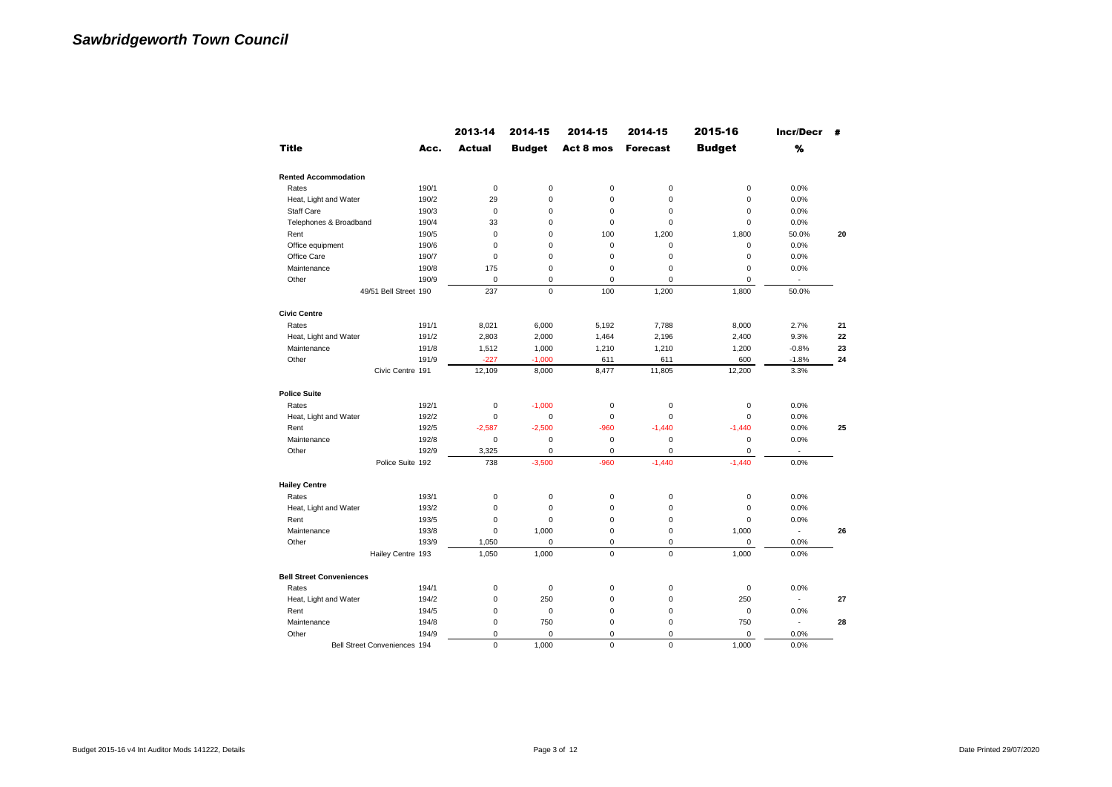|                                     |                       | 2013-14       | 2014-15       | 2014-15     | 2014-15         | 2015-16       | <b>Incr/Decr</b> | 畫  |
|-------------------------------------|-----------------------|---------------|---------------|-------------|-----------------|---------------|------------------|----|
| <b>Title</b>                        | Acc.                  | <b>Actual</b> | <b>Budget</b> | Act 8 mos   | <b>Forecast</b> | <b>Budget</b> | %                |    |
| <b>Rented Accommodation</b>         |                       |               |               |             |                 |               |                  |    |
| Rates                               | 190/1                 | $\mathbf 0$   | $\pmb{0}$     | $\mathsf 0$ | $\mathsf 0$     | 0             | 0.0%             |    |
| Heat, Light and Water               | 190/2                 | 29            | $\mathbf 0$   | $\mathbf 0$ | 0               | $\mathbf 0$   | 0.0%             |    |
| <b>Staff Care</b>                   | 190/3                 | $\mathbf 0$   | 0             | $\mathbf 0$ | $\mathsf 0$     | $\mathbf 0$   | 0.0%             |    |
| Telephones & Broadband              | 190/4                 | 33            | $\mathbf 0$   | $\mathbf 0$ | 0               | $\mathbf 0$   | 0.0%             |    |
| Rent                                | 190/5                 | $\mathbf 0$   | $\mathbf 0$   | 100         | 1,200           | 1,800         | 50.0%            | 20 |
| Office equipment                    | 190/6                 | $\mathbf 0$   | $\mathbf 0$   | $\mathbf 0$ | $\mathbf 0$     | $\mathbf 0$   | 0.0%             |    |
| Office Care                         | 190/7                 | 0             | $\mathbf 0$   | $\mathbf 0$ | $\mathbf 0$     | $\mathbf 0$   | 0.0%             |    |
| Maintenance                         | 190/8                 | 175           | $\mathbf 0$   | $\mathbf 0$ | 0               | $\mathbf 0$   | 0.0%             |    |
| Other                               | 190/9                 | $\mathbf 0$   | $\mathbf 0$   | $\mathbf 0$ | 0               | $\mathbf 0$   | ÷.               |    |
|                                     | 49/51 Bell Street 190 | 237           | $\mathbf 0$   | 100         | 1,200           | 1,800         | 50.0%            |    |
| <b>Civic Centre</b>                 |                       |               |               |             |                 |               |                  |    |
| Rates                               | 191/1                 | 8,021         | 6,000         | 5,192       | 7,788           | 8,000         | 2.7%             | 21 |
| Heat, Light and Water               | 191/2                 | 2,803         | 2,000         | 1,464       | 2,196           | 2,400         | 9.3%             | 22 |
| Maintenance                         | 191/8                 | 1,512         | 1,000         | 1,210       | 1,210           | 1,200         | $-0.8%$          | 23 |
| Other                               | 191/9                 | $-227$        | $-1,000$      | 611         | 611             | 600           | $-1.8%$          | 24 |
|                                     | Civic Centre 191      | 12,109        | 8,000         | 8,477       | 11,805          | 12,200        | 3.3%             |    |
| <b>Police Suite</b>                 |                       |               |               |             |                 |               |                  |    |
| Rates                               | 192/1                 | 0             | $-1,000$      | $\mathbf 0$ | $\mathsf 0$     | $\mathbf 0$   | 0.0%             |    |
| Heat, Light and Water               | 192/2                 | $\mathbf 0$   | $\mathbf 0$   | $\mathbf 0$ | $\mathbf 0$     | $\Omega$      | 0.0%             |    |
| Rent                                | 192/5                 | $-2,587$      | $-2,500$      | $-960$      | $-1,440$        | $-1,440$      | 0.0%             | 25 |
| Maintenance                         | 192/8                 | $\mathbf 0$   | $\mathbf 0$   | $\mathbf 0$ | $\mathbf 0$     | $\mathbf 0$   | 0.0%             |    |
| Other                               | 192/9                 | 3,325         | $\Omega$      | $\Omega$    | $\Omega$        | $\mathbf 0$   |                  |    |
|                                     | Police Suite 192      | 738           | $-3,500$      | -960        | $-1,440$        | $-1,440$      | 0.0%             |    |
| <b>Hailey Centre</b>                |                       |               |               |             |                 |               |                  |    |
| Rates                               | 193/1                 | $\mathbf 0$   | $\mathbf 0$   | $\mathbf 0$ | $\pmb{0}$       | $\mathbf 0$   | 0.0%             |    |
| Heat, Light and Water               | 193/2                 | $\mathbf 0$   | $\mathbf 0$   | $\mathbf 0$ | $\mathbf 0$     | $\mathbf 0$   | 0.0%             |    |
| Rent                                | 193/5                 | $\mathbf 0$   | $\mathbf 0$   | $\Omega$    | $\mathbf 0$     | $\mathbf 0$   | 0.0%             |    |
| Maintenance                         | 193/8                 | $\mathbf 0$   | 1,000         | 0           | $\mathbf 0$     | 1,000         | L.               | 26 |
| Other                               | 193/9                 | 1,050         | $\mathbf 0$   | $\Omega$    | $\Omega$        | $\mathbf 0$   | 0.0%             |    |
|                                     | Hailey Centre 193     | 1,050         | 1,000         | $\Omega$    | $\Omega$        | 1,000         | 0.0%             |    |
| <b>Bell Street Conveniences</b>     |                       |               |               |             |                 |               |                  |    |
| Rates                               | 194/1                 | 0             | $\mathbf 0$   | $\mathbf 0$ | $\mathsf 0$     | $\mathbf 0$   | 0.0%             |    |
| Heat, Light and Water               | 194/2                 | $\mathbf 0$   | 250           | $\mathbf 0$ | $\mathbf 0$     | 250           | $\mathbf{r}$     | 27 |
| Rent                                | 194/5                 | 0             | $\mathbf 0$   | $\mathbf 0$ | $\mathsf 0$     | 0             | 0.0%             |    |
| Maintenance                         | 194/8                 | $\mathbf 0$   | 750           | 0           | 0               | 750           | ä,               | 28 |
| Other                               | 194/9                 | 0             | $\mathbf 0$   | 0           | 0               | $\mathbf 0$   | 0.0%             |    |
| <b>Bell Street Conveniences 194</b> |                       | $\Omega$      | 1,000         | $\Omega$    | $\Omega$        | 1,000         | 0.0%             |    |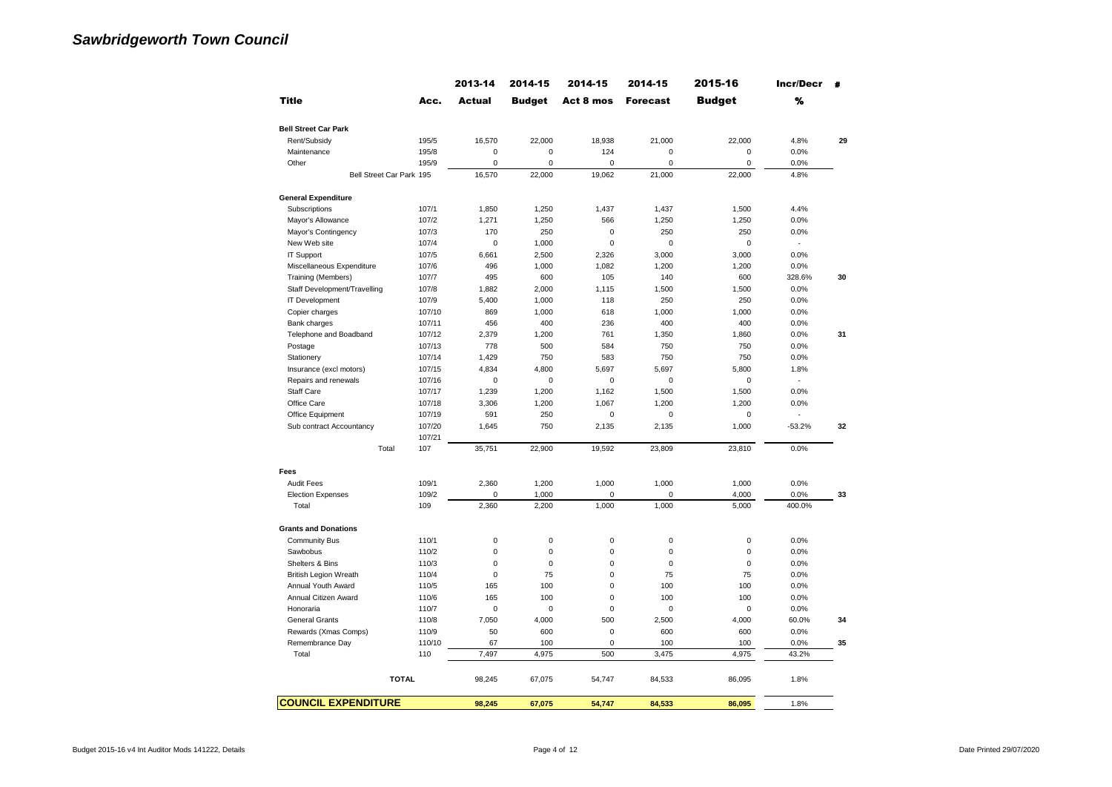|                              |               | 2013-14     | 2014-15       | 2014-15        | 2014-15         | 2015-16       | <b>Incr/Decr</b> | $\bullet$ |
|------------------------------|---------------|-------------|---------------|----------------|-----------------|---------------|------------------|-----------|
| <b>Title</b>                 | Acc.          | Actual      | <b>Budget</b> | Act 8 mos      | <b>Forecast</b> | <b>Budget</b> | %                |           |
| <b>Bell Street Car Park</b>  |               |             |               |                |                 |               |                  |           |
| Rent/Subsidy                 | 195/5         | 16,570      | 22,000        | 18,938         | 21,000          | 22,000        | 4.8%             | 29        |
| Maintenance                  | 195/8         | $\mathbf 0$ | $\mathbf 0$   | 124            | $\mathbf 0$     | $\mathbf 0$   | 0.0%             |           |
| Other                        | 195/9         | $\mathbf 0$ | $\mathbf 0$   | $\mathbf 0$    | $\mathbf 0$     | 0             | 0.0%             |           |
| Bell Street Car Park 195     |               | 16,570      | 22,000        | 19,062         | 21,000          | 22,000        | 4.8%             |           |
| <b>General Expenditure</b>   |               |             |               |                |                 |               |                  |           |
| Subscriptions                | 107/1         | 1,850       | 1,250         | 1,437          | 1,437           | 1,500         | 4.4%             |           |
| Mayor's Allowance            | 107/2         | 1,271       | 1,250         | 566            | 1,250           | 1,250         | 0.0%             |           |
| Mayor's Contingency          | 107/3         | 170         | 250           | $\overline{0}$ | 250             | 250           | 0.0%             |           |
| New Web site                 | 107/4         | $\mathbf 0$ | 1,000         | $\mathbf 0$    | $\mathbf 0$     | 0             |                  |           |
| <b>IT Support</b>            | 107/5         | 6,661       | 2,500         | 2,326          | 3,000           | 3,000         | 0.0%             |           |
| Miscellaneous Expenditure    | 107/6         | 496         | 1,000         | 1,082          | 1,200           | 1,200         | 0.0%             |           |
| Training (Members)           | 107/7         | 495         | 600           | 105            | 140             | 600           | 328.6%           | 30        |
| Staff Development/Travelling | 107/8         | 1,882       | 2,000         | 1,115          | 1,500           | 1.500         | 0.0%             |           |
| IT Development               | 107/9         | 5,400       | 1,000         | 118            | 250             | 250           | 0.0%             |           |
| Copier charges               | 107/10        | 869         | 1,000         | 618            | 1,000           | 1,000         | 0.0%             |           |
| <b>Bank charges</b>          | 107/11        | 456         | 400           | 236            | 400             | 400           | 0.0%             |           |
| Telephone and Boadband       | 107/12        | 2,379       | 1,200         | 761            | 1,350           | 1,860         | 0.0%             | 31        |
| Postage                      | 107/13        | 778         | 500           | 584            | 750             | 750           | 0.0%             |           |
| Stationery                   | 107/14        | 1,429       | 750           | 583            | 750             | 750           | 0.0%             |           |
| Insurance (excl motors)      | 107/15        | 4,834       | 4,800         | 5,697          | 5,697           | 5,800         | 1.8%             |           |
| Repairs and renewals         | 107/16        | 0           | $\mathbf 0$   | $\mathbf 0$    | $\mathbf 0$     | $\mathbf 0$   |                  |           |
| <b>Staff Care</b>            | 107/17        | 1,239       | 1,200         | 1,162          | 1,500           | 1,500         | 0.0%             |           |
| Office Care                  | 107/18        | 3,306       | 1,200         | 1,067          | 1,200           | 1,200         | 0.0%             |           |
| Office Equipment             | 107/19        | 591         | 250           | $\mathbf 0$    | $\mathbf 0$     | $\mathbf 0$   |                  |           |
| Sub contract Accountancy     | 107/20        | 1,645       | 750           | 2,135          | 2,135           | 1,000         | $-53.2%$         | 32        |
| Total                        | 107/21<br>107 | 35,751      | 22,900        | 19,592         | 23,809          | 23,810        | 0.0%             |           |
|                              |               |             |               |                |                 |               |                  |           |
| Fees                         |               |             |               |                |                 |               |                  |           |
| <b>Audit Fees</b>            | 109/1         | 2,360       | 1,200         | 1,000          | 1,000           | 1,000         | 0.0%             |           |
| <b>Election Expenses</b>     | 109/2         | $\mathbf 0$ | 1,000         | $\mathbf 0$    | $\mathbf 0$     | 4,000         | 0.0%             | 33        |
| Total                        | 109           | 2,360       | 2,200         | 1,000          | 1,000           | 5,000         | 400.0%           |           |
| <b>Grants and Donations</b>  |               |             |               |                |                 |               |                  |           |
| <b>Community Bus</b>         | 110/1         | $\mathbf 0$ | $\pmb{0}$     | $\overline{0}$ | $\mathbf 0$     | $\pmb{0}$     | 0.0%             |           |
| Sawbobus                     | 110/2         | $\mathbf 0$ | $\mathbf 0$   | $\mathbf 0$    | $\mathbf 0$     | 0             | 0.0%             |           |
| Shelters & Bins              | 110/3         | $\mathbf 0$ | $\pmb{0}$     | $\mathbf 0$    | $\mathbf 0$     | $\pmb{0}$     | 0.0%             |           |
| <b>British Legion Wreath</b> | 110/4         | $\mathbf 0$ | 75            | $\overline{0}$ | 75              | 75            | 0.0%             |           |
| Annual Youth Award           | 110/5         | 165         | 100           | $\Omega$       | 100             | 100           | 0.0%             |           |
| Annual Citizen Award         | 110/6         | 165         | 100           | $\overline{0}$ | 100             | 100           | 0.0%             |           |
| Honoraria                    | 110/7         | $\mathbf 0$ | $\mathbf 0$   | $\mathbf 0$    | $\mathbf 0$     | $\mathbf 0$   | 0.0%             |           |
| <b>General Grants</b>        | 110/8         | 7,050       | 4,000         | 500            | 2,500           | 4,000         | 60.0%            | 34        |
| Rewards (Xmas Comps)         | 110/9         | 50          | 600           | $\mathbf 0$    | 600             | 600           | 0.0%             |           |
| Remembrance Day              | 110/10        | 67          | 100           | $\mathbf 0$    | 100             | 100           | 0.0%             | 35        |
| Total                        | 110           | 7,497       | 4,975         | 500            | 3,475           | 4,975         | 43.2%            |           |
| <b>TOTAL</b>                 |               | 98,245      | 67,075        | 54,747         | 84,533          | 86,095        | 1.8%             |           |
| <b>COUNCIL EXPENDITURE</b>   |               | 98.245      | 67.075        | 54.747         | 84.533          | 86.095        | 1.8%             |           |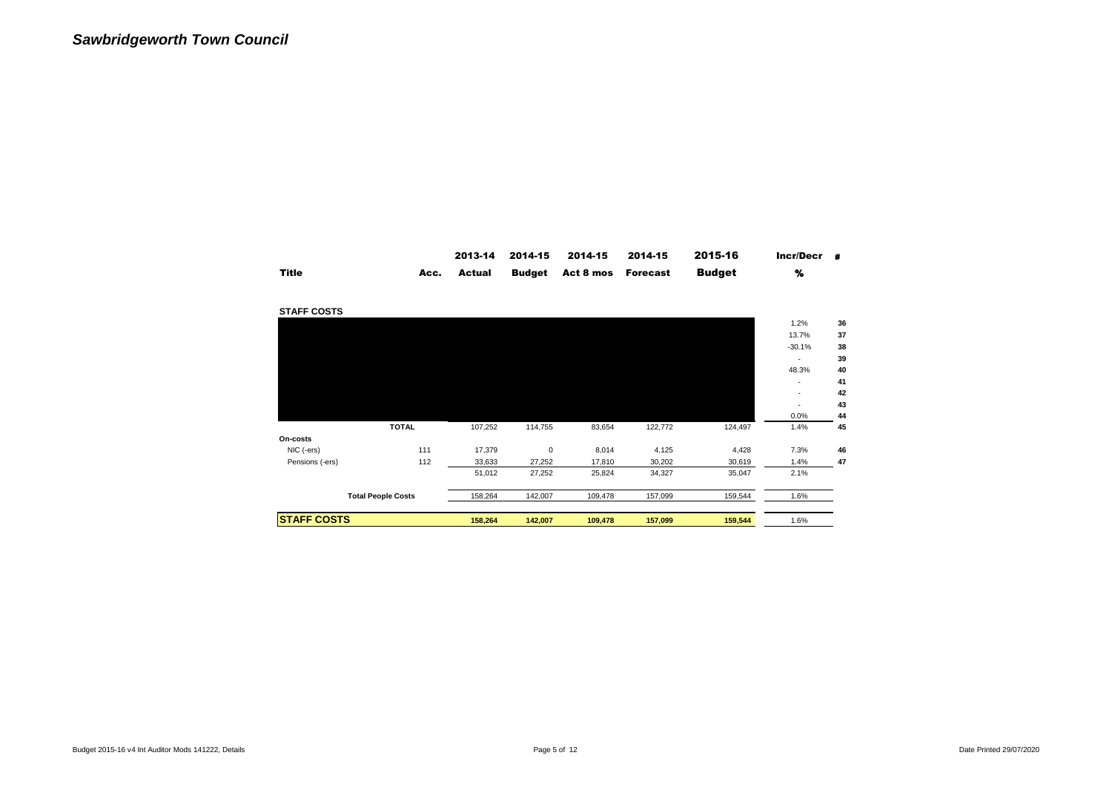|       |             | 2013-14 2014-15 2014-15 2014-15  | 2015-16 | Incr/Decr # |  |
|-------|-------------|----------------------------------|---------|-------------|--|
| Title | Acc. Actual | <b>Budget Act 8 mos Forecast</b> | Budaet  |             |  |

| <b>STAFF COSTS</b> |                           | 158,264 | 142,007     | 109,478 | 157,099 | 159,544 | 1.6%                     |    |
|--------------------|---------------------------|---------|-------------|---------|---------|---------|--------------------------|----|
|                    | <b>Total People Costs</b> | 158,264 | 142,007     | 109,478 | 157,099 | 159,544 | 1.6%                     |    |
|                    |                           | 51,012  | 27,252      | 25,824  | 34,327  | 35,047  | 2.1%                     |    |
| Pensions (-ers)    | 112                       | 33,633  | 27,252      | 17,810  | 30,202  | 30,619  | 1.4%                     | 47 |
| NIC (-ers)         | 111                       | 17,379  | $\mathbf 0$ | 8,014   | 4,125   | 4,428   | 7.3%                     | 46 |
| On-costs           |                           |         |             |         |         |         |                          |    |
|                    | <b>TOTAL</b>              | 107,252 | 114,755     | 83,654  | 122,772 | 124,497 | 1.4%                     | 45 |
|                    |                           |         |             |         |         |         | 0.0%                     | 44 |
|                    |                           |         |             |         |         |         | $\overline{\phantom{a}}$ | 43 |
|                    |                           |         |             |         |         |         | $\overline{\phantom{a}}$ | 42 |
|                    |                           |         |             |         |         |         | $\overline{\phantom{a}}$ | 41 |
|                    |                           |         |             |         |         |         | 48.3%                    | 40 |
|                    |                           |         |             |         |         |         | $\overline{\phantom{a}}$ | 39 |
|                    |                           |         |             |         |         |         | $-30.1%$                 | 38 |
|                    |                           |         |             |         |         |         | 13.7%                    | 37 |
|                    |                           |         |             |         |         |         | 1.2%                     | 36 |
| <b>STAFF COSTS</b> |                           |         |             |         |         |         |                          |    |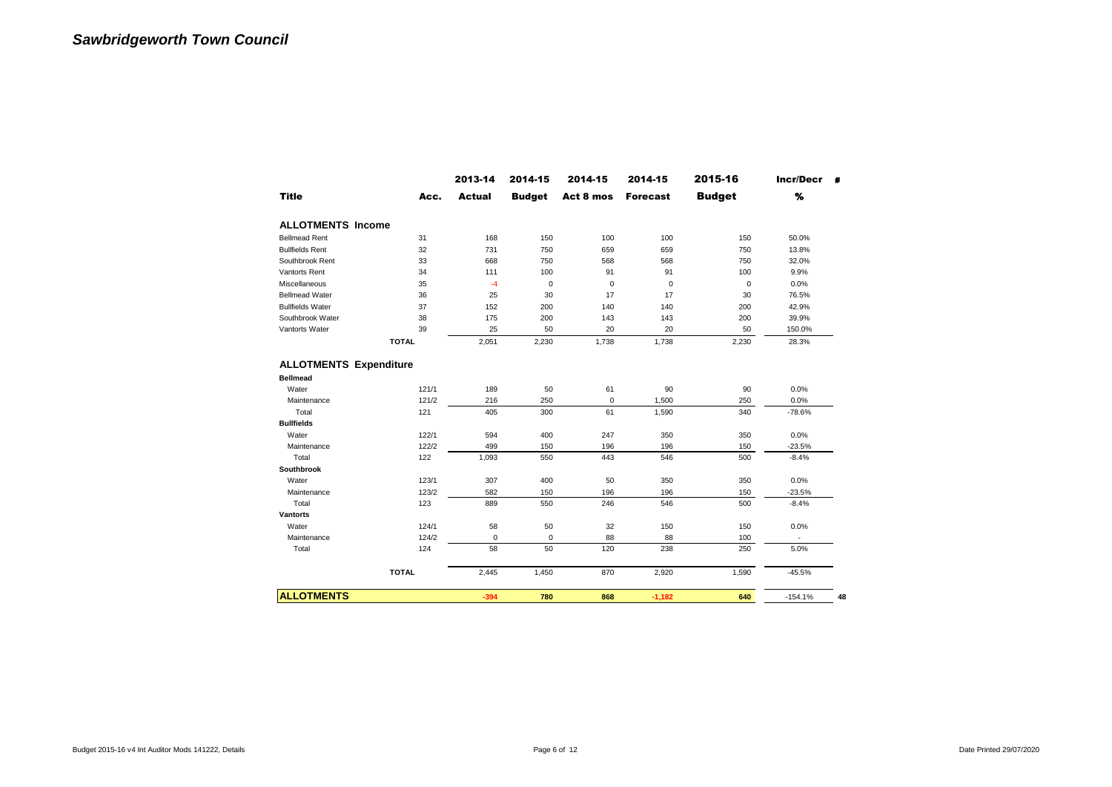|                               |              | 2013-14       | 2014-15       | 2014-15   | 2014-15         | 2015-16       | Incr/Decr |    |
|-------------------------------|--------------|---------------|---------------|-----------|-----------------|---------------|-----------|----|
| <b>Title</b>                  | Acc.         | <b>Actual</b> | <b>Budget</b> | Act 8 mos | <b>Forecast</b> | <b>Budget</b> | %         |    |
| <b>ALLOTMENTS Income</b>      |              |               |               |           |                 |               |           |    |
| <b>Bellmead Rent</b>          | 31           | 168           | 150           | 100       | 100             | 150           | 50.0%     |    |
| <b>Bullfields Rent</b>        | 32           | 731           | 750           | 659       | 659             | 750           | 13.8%     |    |
| Southbrook Rent               | 33           | 668           | 750           | 568       | 568             | 750           | 32.0%     |    |
| Vantorts Rent                 | 34           | 111           | 100           | 91        | 91              | 100           | 9.9%      |    |
| Miscellaneous                 | 35           | $-4$          | $\mathbf 0$   | 0         | $\mathbf 0$     | 0             | 0.0%      |    |
| <b>Bellmead Water</b>         | 36           | 25            | 30            | 17        | 17              | 30            | 76.5%     |    |
| <b>Bullfields Water</b>       | 37           | 152           | 200           | 140       | 140             | 200           | 42.9%     |    |
| Southbrook Water              | 38           | 175           | 200           | 143       | 143             | 200           | 39.9%     |    |
| Vantorts Water                | 39           | 25            | 50            | 20        | 20              | 50            | 150.0%    |    |
|                               | <b>TOTAL</b> | 2,051         | 2,230         | 1,738     | 1,738           | 2,230         | 28.3%     |    |
| <b>ALLOTMENTS Expenditure</b> |              |               |               |           |                 |               |           |    |
| <b>Bellmead</b>               |              |               |               |           |                 |               |           |    |
| Water                         | 121/1        | 189           | 50            | 61        | 90              | 90            | 0.0%      |    |
| Maintenance                   | 121/2        | 216           | 250           | 0         | 1,500           | 250           | 0.0%      |    |
| Total                         | 121          | 405           | 300           | 61        | 1,590           | 340           | $-78.6%$  |    |
| <b>Bullfields</b>             |              |               |               |           |                 |               |           |    |
| Water                         | 122/1        | 594           | 400           | 247       | 350             | 350           | 0.0%      |    |
| Maintenance                   | 122/2        | 499           | 150           | 196       | 196             | 150           | $-23.5%$  |    |
| Total                         | 122          | 1,093         | 550           | 443       | 546             | 500           | $-8.4%$   |    |
| <b>Southbrook</b>             |              |               |               |           |                 |               |           |    |
| Water                         | 123/1        | 307           | 400           | 50        | 350             | 350           | 0.0%      |    |
| Maintenance                   | 123/2        | 582           | 150           | 196       | 196             | 150           | $-23.5%$  |    |
| Total                         | 123          | 889           | 550           | 246       | 546             | 500           | $-8.4%$   |    |
| <b>Vantorts</b>               |              |               |               |           |                 |               |           |    |
| Water                         | 124/1        | 58            | 50            | 32        | 150             | 150           | 0.0%      |    |
| Maintenance                   | 124/2        | 0             | 0             | 88        | 88              | 100           |           |    |
| Total                         | 124          | 58            | 50            | 120       | 238             | 250           | 5.0%      |    |
|                               | <b>TOTAL</b> | 2,445         | 1,450         | 870       | 2,920           | 1,590         | $-45.5%$  |    |
| <b>ALLOTMENTS</b>             |              | $-394$        | 780           | 868       | $-1,182$        | 640           | $-154.1%$ | 48 |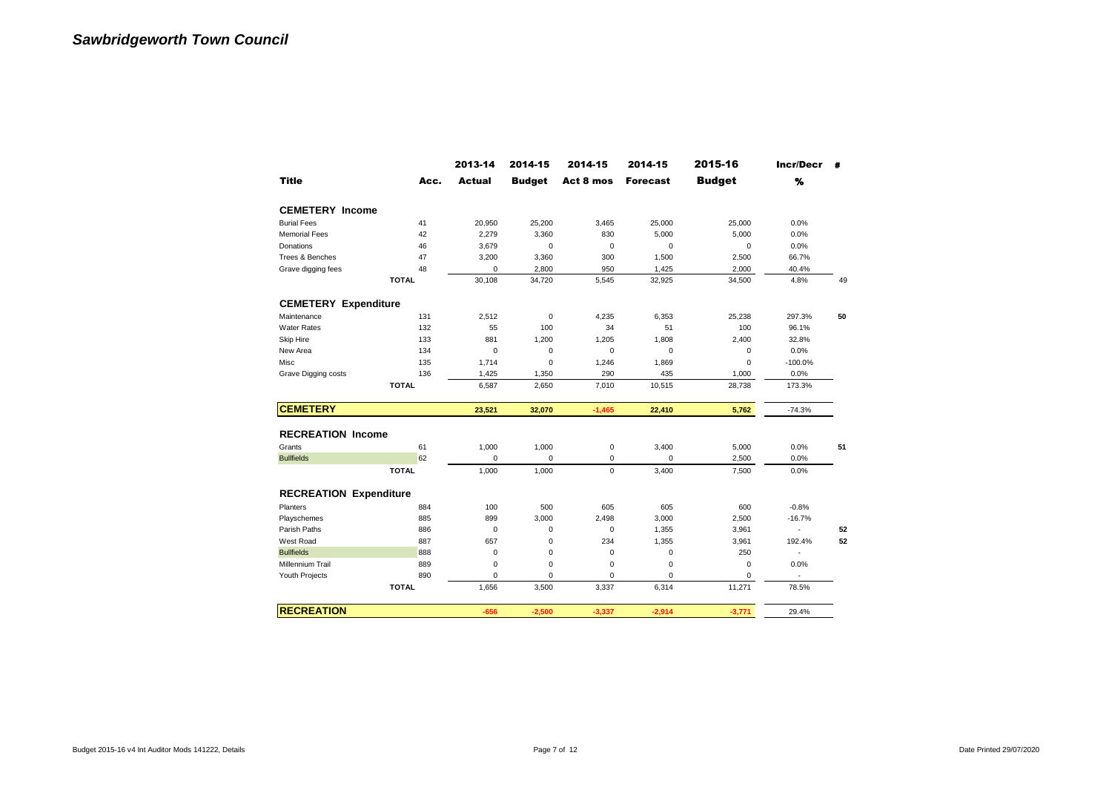|                               |              | 2013-14       | 2014-15       | 2014-15     | 2014-15         | 2015-16       | <b>Incr/Decr</b> | ×  |
|-------------------------------|--------------|---------------|---------------|-------------|-----------------|---------------|------------------|----|
| <b>Title</b>                  | Acc.         | <b>Actual</b> | <b>Budget</b> | Act 8 mos   | <b>Forecast</b> | <b>Budget</b> | %                |    |
| <b>CEMETERY Income</b>        |              |               |               |             |                 |               |                  |    |
| <b>Burial Fees</b>            | 41           | 20,950        | 25,200        | 3,465       | 25,000          | 25,000        | 0.0%             |    |
| <b>Memorial Fees</b>          | 42           | 2,279         | 3,360         | 830         | 5,000           | 5,000         | 0.0%             |    |
| Donations                     | 46           | 3,679         | $\mathbf 0$   | $\mathbf 0$ | $\mathbf 0$     | $\mathbf 0$   | 0.0%             |    |
| Trees & Benches               | 47           | 3,200         | 3,360         | 300         | 1,500           | 2,500         | 66.7%            |    |
| Grave digging fees            | 48           | 0             | 2,800         | 950         | 1,425           | 2,000         | 40.4%            |    |
|                               | <b>TOTAL</b> | 30,108        | 34,720        | 5,545       | 32,925          | 34,500        | 4.8%             | 49 |
| <b>CEMETERY Expenditure</b>   |              |               |               |             |                 |               |                  |    |
| Maintenance                   | 131          | 2,512         | $\mathbf 0$   | 4,235       | 6,353           | 25,238        | 297.3%           | 50 |
| <b>Water Rates</b>            | 132          | 55            | 100           | 34          | 51              | 100           | 96.1%            |    |
| Skip Hire                     | 133          | 881           | 1,200         | 1.205       | 1,808           | 2.400         | 32.8%            |    |
| New Area                      | 134          | $\mathbf 0$   | $\mathbf 0$   | $\mathbf 0$ | $\mathbf 0$     | $\pmb{0}$     | 0.0%             |    |
| Misc                          | 135          | 1,714         | $\mathbf 0$   | 1,246       | 1,869           | $\mathbf 0$   | $-100.0%$        |    |
| Grave Digging costs           | 136          | 1,425         | 1,350         | 290         | 435             | 1,000         | 0.0%             |    |
|                               | <b>TOTAL</b> | 6,587         | 2,650         | 7,010       | 10,515          | 28,738        | 173.3%           |    |
| <b>CEMETERY</b>               |              | 23,521        | 32,070        | $-1,465$    | 22,410          | 5,762         | $-74.3%$         |    |
| <b>RECREATION Income</b>      |              |               |               |             |                 |               |                  |    |
| Grants                        | 61           | 1,000         | 1,000         | 0           | 3,400           | 5,000         | 0.0%             | 51 |
| <b>Bullfields</b>             | 62           | 0             | $\mathbf 0$   | 0           | 0               | 2,500         | 0.0%             |    |
|                               | <b>TOTAL</b> | 1,000         | 1,000         | $\mathbf 0$ | 3,400           | 7,500         | 0.0%             |    |
| <b>RECREATION Expenditure</b> |              |               |               |             |                 |               |                  |    |
| Planters                      | 884          | 100           | 500           | 605         | 605             | 600           | $-0.8%$          |    |
| Playschemes                   | 885          | 899           | 3,000         | 2,498       | 3,000           | 2,500         | $-16.7%$         |    |
| Parish Paths                  | 886          | $\mathbf 0$   | $\mathbf 0$   | $\mathbf 0$ | 1,355           | 3,961         |                  | 52 |
| West Road                     | 887          | 657           | $\mathbf 0$   | 234         | 1,355           | 3,961         | 192.4%           | 52 |
| <b>Bullfields</b>             | 888          | $\mathbf 0$   | $\mathbf 0$   | 0           | 0               | 250           | ä,               |    |
| <b>Millennium Trail</b>       | 889          | $\mathbf 0$   | $\mathbf 0$   | 0           | 0               | $\mathbf 0$   | 0.0%             |    |
| Youth Projects                | 890          | $\mathbf 0$   | $\mathbf 0$   | 0           | 0               | $\mathbf 0$   | ÷,               |    |
|                               | <b>TOTAL</b> | 1,656         | 3,500         | 3,337       | 6,314           | 11,271        | 78.5%            |    |
| <b>RECREATION</b>             |              | $-656$        | $-2,500$      | $-3,337$    | $-2,914$        | $-3,771$      | 29.4%            |    |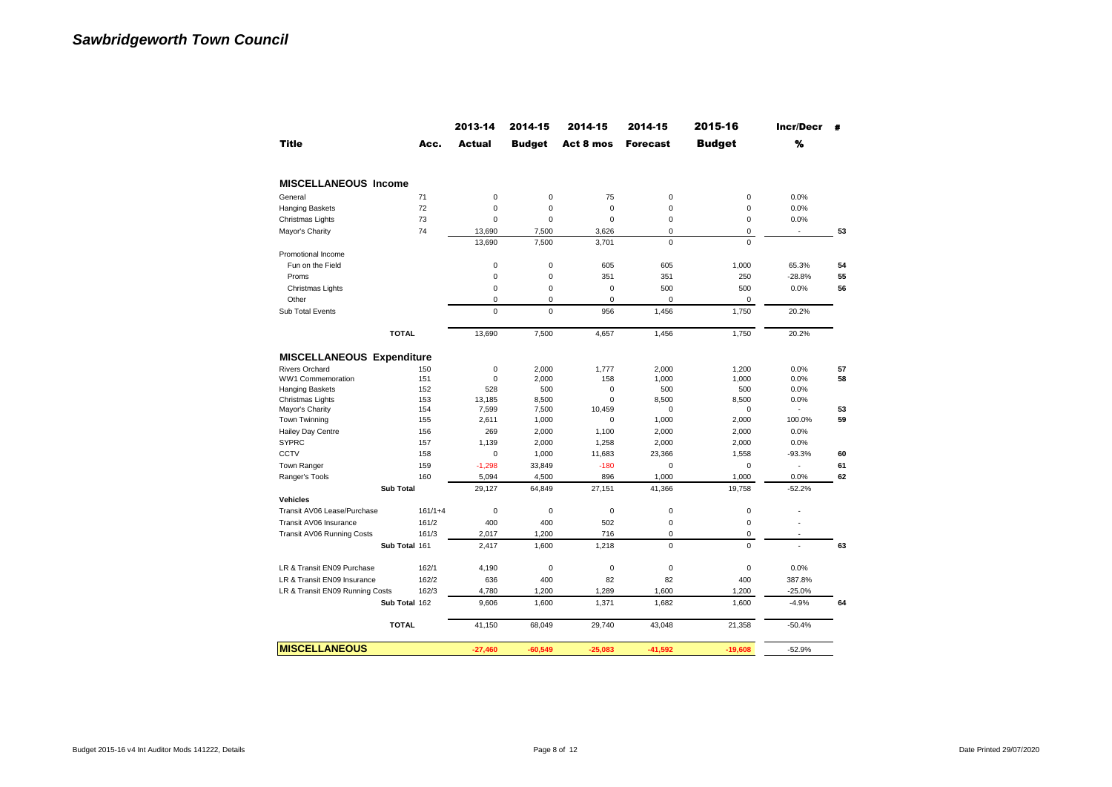|                                  |                  | 2013-14        | 2014-15       | 2014-15     | 2014-15         | 2015-16       | <b>Incr/Decr</b> | ٠  |
|----------------------------------|------------------|----------------|---------------|-------------|-----------------|---------------|------------------|----|
| <b>Title</b>                     | Acc.             | Actual         | <b>Budget</b> | Act 8 mos   | <b>Forecast</b> | <b>Budget</b> | %                |    |
| <b>MISCELLANEOUS Income</b>      |                  |                |               |             |                 |               |                  |    |
| General                          | 71               | $\mathbf 0$    | $\mathbf 0$   | 75          | $\mathbf 0$     | $\mathbf 0$   | 0.0%             |    |
| <b>Hanging Baskets</b>           | 72               | $\overline{0}$ | $\mathbf 0$   | $\mathbf 0$ | $\mathbf 0$     | $\mathbf 0$   | 0.0%             |    |
| Christmas Lights                 | 73               | $\Omega$       | $\Omega$      | $\Omega$    | 0               | $\mathbf 0$   | 0.0%             |    |
| Mayor's Charity                  | 74               | 13,690         | 7,500         | 3,626       | $\mathbf 0$     | 0             | $\blacksquare$   | 53 |
|                                  |                  | 13.690         | 7,500         | 3.701       | $\Omega$        | $\Omega$      |                  |    |
| Promotional Income               |                  |                |               |             |                 |               |                  |    |
| Fun on the Field                 |                  | $\mathbf 0$    | $\mathbf 0$   | 605         | 605             | 1,000         | 65.3%            | 54 |
| Proms                            |                  | 0              | $\mathbf 0$   | 351         | 351             | 250           | $-28.8%$         | 55 |
| Christmas Lights                 |                  | $\mathbf 0$    | $\mathbf 0$   | 0           | 500             | 500           | 0.0%             | 56 |
| Other                            |                  | $\mathbf 0$    | $\mathbf 0$   | 0           | $\mathbf 0$     | $\mathbf 0$   |                  |    |
| Sub Total Events                 |                  | $\overline{0}$ | $\Omega$      | 956         | 1,456           | 1,750         | 20.2%            |    |
|                                  | <b>TOTAL</b>     | 13,690         | 7,500         | 4,657       | 1,456           | 1,750         | 20.2%            |    |
| <b>MISCELLANEOUS Expenditure</b> |                  |                |               |             |                 |               |                  |    |
| <b>Rivers Orchard</b>            | 150              | $\overline{0}$ | 2,000         | 1,777       | 2,000           | 1,200         | 0.0%             | 57 |
| WW1 Commemoration                | 151              | $\mathbf 0$    | 2,000         | 158         | 1,000           | 1,000         | 0.0%             | 58 |
| <b>Hanging Baskets</b>           | 152              | 528            | 500           | 0           | 500             | 500           | 0.0%             |    |
| Christmas Lights                 | 153              | 13,185         | 8,500         | $\Omega$    | 8.500           | 8.500         | 0.0%             |    |
| Mayor's Charity                  | 154              | 7,599          | 7,500         | 10,459      | $\mathbf 0$     | $\mathbf 0$   |                  | 53 |
| Town Twinning                    | 155              | 2,611          | 1,000         | 0           | 1,000           | 2,000         | 100.0%           | 59 |
| Hailey Day Centre                | 156              | 269            | 2,000         | 1,100       | 2,000           | 2,000         | 0.0%             |    |
| <b>SYPRC</b>                     | 157              | 1,139          | 2,000         | 1,258       | 2,000           | 2,000         | 0.0%             |    |
| <b>CCTV</b>                      | 158              | $\mathbf 0$    | 1,000         | 11,683      | 23,366          | 1,558         | $-93.3%$         | 60 |
| Town Ranger                      | 159              | $-1,298$       | 33,849        | $-180$      | $\mathbf 0$     | $\mathbf 0$   | ä,               | 61 |
| Ranger's Tools                   | 160              | 5,094          | 4,500         | 896         | 1,000           | 1,000         | 0.0%             | 62 |
| <b>Vehicles</b>                  | <b>Sub Total</b> | 29.127         | 64,849        | 27,151      | 41,366          | 19,758        | $-52.2%$         |    |
| Transit AV06 Lease/Purchase      | $161/1+4$        | $\mathbf 0$    | $\mathbf 0$   | $\mathbf 0$ | $\mathbf 0$     | $\mathbf 0$   |                  |    |
| Transit AV06 Insurance           | 161/2            | 400            | 400           | 502         | $\mathbf 0$     | $\mathbf 0$   |                  |    |
| Transit AV06 Running Costs       | 161/3            | 2,017          | 1,200         | 716         | $\mathbf 0$     | 0             | ۰                |    |
|                                  | Sub Total 161    | 2.417          | 1,600         | 1.218       | $\Omega$        | $\Omega$      |                  | 63 |
| LR & Transit EN09 Purchase       | 162/1            | 4,190          | $\mathbf 0$   | 0           | $\mathbf 0$     | $\mathbf 0$   | 0.0%             |    |
| LR & Transit EN09 Insurance      | 162/2            | 636            | 400           | 82          | 82              | 400           | 387.8%           |    |
| LR & Transit EN09 Running Costs  | 162/3            | 4,780          | 1,200         | 1,289       | 1,600           | 1,200         | $-25.0%$         |    |
|                                  | Sub Total 162    | 9.606          | 1,600         | 1.371       | 1.682           | 1.600         | $-4.9%$          | 64 |
|                                  | <b>TOTAL</b>     | 41,150         | 68,049        | 29.740      | 43,048          | 21,358        | $-50.4%$         |    |
| <b>MISCELLANEOUS</b>             |                  | $-27.460$      | $-60.549$     | $-25.083$   | $-41.592$       | $-19.608$     | $-52.9%$         |    |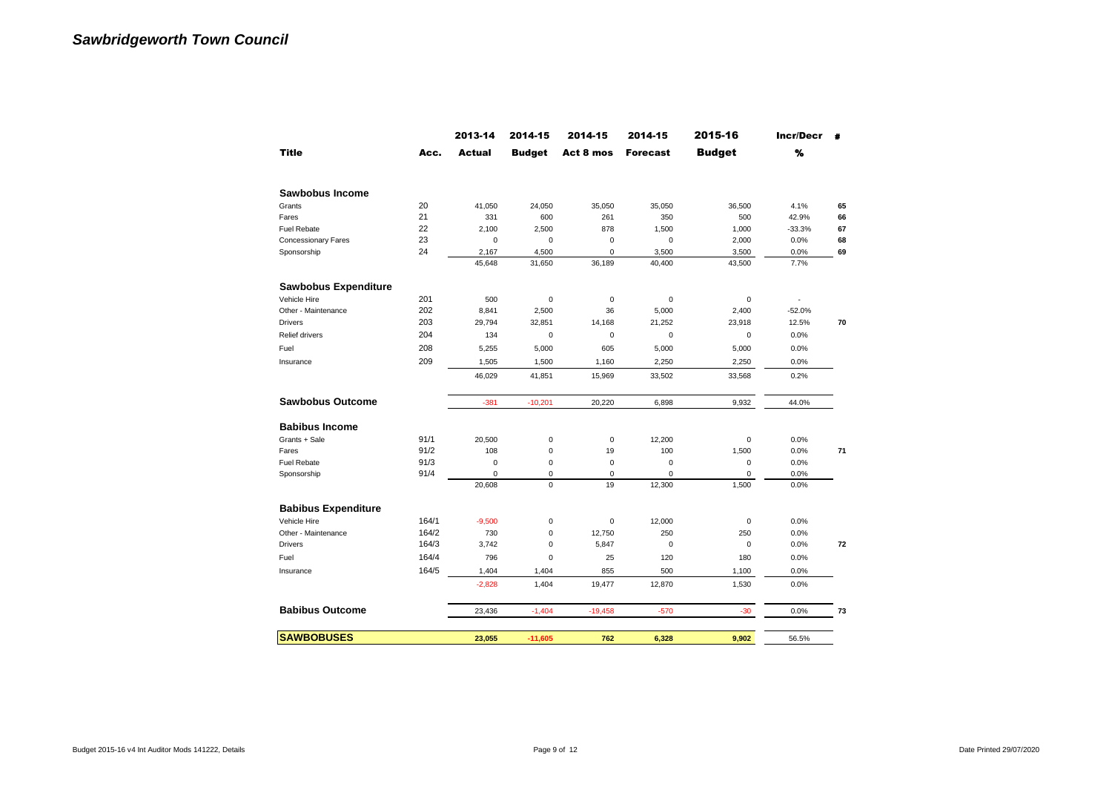|                             |       | 2013-14         | 2014-15         | 2014-15     | 2014-15         | 2015-16         | <b>Incr/Decr</b>         | $\bullet$ |
|-----------------------------|-------|-----------------|-----------------|-------------|-----------------|-----------------|--------------------------|-----------|
| <b>Title</b>                | Acc.  | Actual          | <b>Budget</b>   | Act 8 mos   | <b>Forecast</b> | <b>Budget</b>   | %                        |           |
| Sawbobus Income             |       |                 |                 |             |                 |                 |                          |           |
| Grants                      | 20    | 41,050          | 24,050          | 35,050      | 35,050          | 36,500          | 4.1%                     | 65        |
| Fares                       | 21    | 331             | 600             | 261         | 350             | 500             | 42.9%                    | 66        |
| <b>Fuel Rebate</b>          | 22    | 2,100           | 2,500           | 878         | 1,500           | 1,000           | $-33.3%$                 | 67        |
| Concessionary Fares         | 23    | $\mathbf 0$     | $\mathbf 0$     | 0           | $\mathbf 0$     | 2,000           | 0.0%                     | 68        |
| Sponsorship                 | 24    | 2,167<br>45,648 | 4,500<br>31,650 | 0<br>36,189 | 3,500<br>40,400 | 3,500<br>43,500 | 0.0%<br>7.7%             | 69        |
| <b>Sawbobus Expenditure</b> |       |                 |                 |             |                 |                 |                          |           |
| Vehicle Hire                | 201   | 500             | $\mathbf 0$     | 0           | $\mathbf 0$     | $\mathbf 0$     | $\overline{\phantom{a}}$ |           |
| Other - Maintenance         | 202   | 8,841           | 2,500           | 36          | 5,000           | 2,400           | $-52.0%$                 |           |
| <b>Drivers</b>              | 203   | 29,794          | 32,851          | 14,168      | 21,252          | 23,918          | 12.5%                    | 70        |
| Relief drivers              | 204   | 134             | $\mathbf 0$     | 0           | $\mathbf 0$     | $\mathbf 0$     | 0.0%                     |           |
| Fuel                        | 208   | 5,255           | 5,000           | 605         | 5,000           | 5,000           | 0.0%                     |           |
| Insurance                   | 209   | 1,505           | 1,500           | 1,160       | 2,250           | 2,250           | 0.0%                     |           |
|                             |       | 46,029          | 41,851          | 15,969      | 33,502          | 33,568          | 0.2%                     |           |
| <b>Sawbobus Outcome</b>     |       | $-381$          | $-10,201$       | 20,220      | 6,898           | 9,932           | 44.0%                    |           |
| <b>Babibus Income</b>       |       |                 |                 |             |                 |                 |                          |           |
| Grants + Sale               | 91/1  | 20,500          | $\mathbf 0$     | 0           | 12,200          | $\mathbf 0$     | 0.0%                     |           |
| Fares                       | 91/2  | 108             | $\mathbf 0$     | 19          | 100             | 1,500           | 0.0%                     | 71        |
| <b>Fuel Rebate</b>          | 91/3  | 0               | $\mathbf 0$     | 0           | 0               | $\mathbf 0$     | 0.0%                     |           |
| Sponsorship                 | 91/4  | $\mathbf 0$     | $\mathbf 0$     | 0           | 0               | $\mathbf 0$     | 0.0%                     |           |
|                             |       | 20,608          | $\mathbf 0$     | 19          | 12,300          | 1,500           | 0.0%                     |           |
| <b>Babibus Expenditure</b>  |       |                 |                 |             |                 |                 |                          |           |
| Vehicle Hire                | 164/1 | $-9,500$        | $\mathbf 0$     | 0           | 12,000          | $\mathbf 0$     | 0.0%                     |           |
| Other - Maintenance         | 164/2 | 730             | $\mathbf 0$     | 12,750      | 250             | 250             | 0.0%                     |           |
| <b>Drivers</b>              | 164/3 | 3,742           | $\mathbf 0$     | 5,847       | $\mathbf 0$     | $\mathbf 0$     | 0.0%                     | 72        |
| Fuel                        | 164/4 | 796             | $\mathbf 0$     | 25          | 120             | 180             | 0.0%                     |           |
| Insurance                   | 164/5 | 1,404           | 1,404           | 855         | 500             | 1,100           | 0.0%                     |           |
|                             |       | $-2,828$        | 1,404           | 19,477      | 12,870          | 1,530           | 0.0%                     |           |
| <b>Babibus Outcome</b>      |       | 23,436          | $-1,404$        | $-19,458$   | $-570$          | $-30$           | 0.0%                     | 73        |
| <b>SAWBOBUSES</b>           |       | 23,055          | $-11,605$       | 762         | 6,328           | 9,902           | 56.5%                    |           |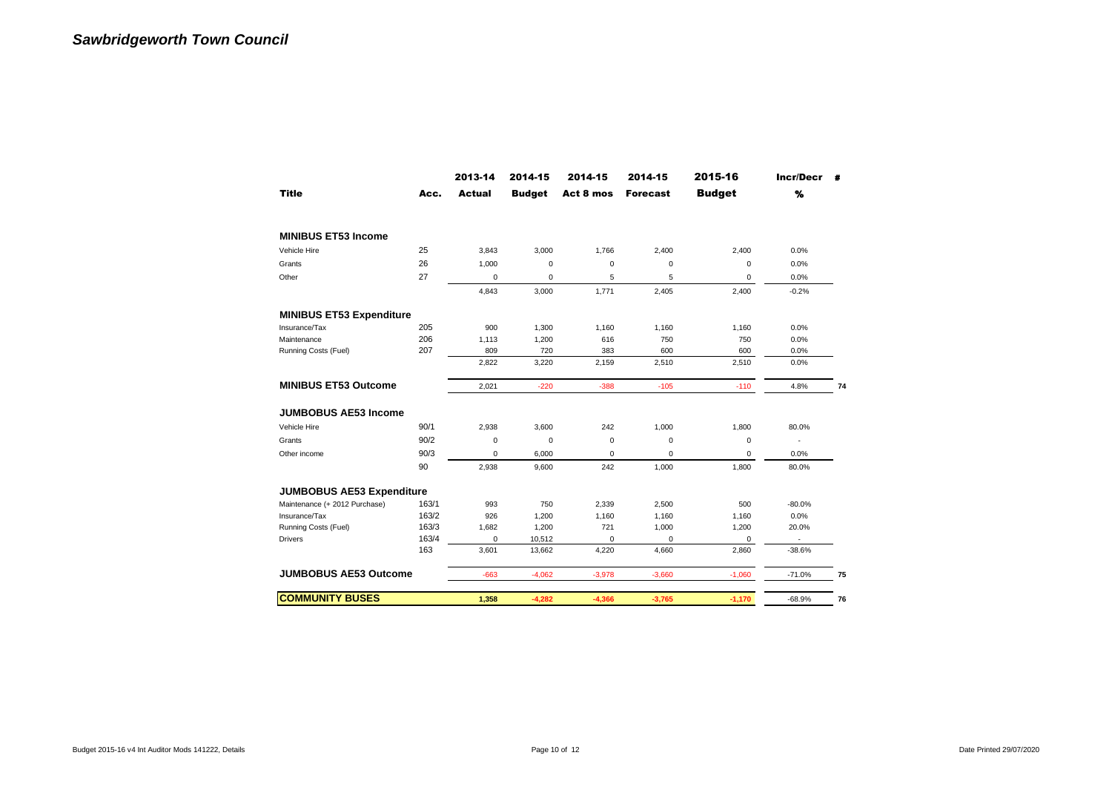|                                  |       | 2013-14       | 2014-15        | 2014-15     | 2014-15         | 2015-16       | <b>Incr/Decr</b> | s  |
|----------------------------------|-------|---------------|----------------|-------------|-----------------|---------------|------------------|----|
| <b>Title</b>                     | Acc.  | <b>Actual</b> | <b>Budget</b>  | Act 8 mos   | <b>Forecast</b> | <b>Budget</b> | %                |    |
| <b>MINIBUS ET53 Income</b>       |       |               |                |             |                 |               |                  |    |
| Vehicle Hire                     | 25    | 3,843         | 3,000          | 1,766       | 2,400           | 2,400         | 0.0%             |    |
| Grants                           | 26    | 1,000         | $\mathbf 0$    | $\mathbf 0$ | $\mathbf 0$     | $\mathbf 0$   | 0.0%             |    |
| Other                            | 27    | 0             | 0              | 5           | 5               | $\mathbf 0$   | 0.0%             |    |
|                                  |       | 4,843         | 3,000          | 1,771       | 2,405           | 2,400         | $-0.2%$          |    |
| <b>MINIBUS ET53 Expenditure</b>  |       |               |                |             |                 |               |                  |    |
| Insurance/Tax                    | 205   | 900           | 1,300          | 1,160       | 1,160           | 1,160         | 0.0%             |    |
| Maintenance                      | 206   | 1,113         | 1,200          | 616         | 750             | 750           | 0.0%             |    |
| Running Costs (Fuel)             | 207   | 809           | 720            | 383         | 600             | 600           | 0.0%             |    |
|                                  |       | 2,822         | 3,220          | 2,159       | 2,510           | 2,510         | 0.0%             |    |
| <b>MINIBUS ET53 Outcome</b>      |       | 2.021         | $-220$         | $-388$      | $-105$          | $-110$        | 4.8%             | 74 |
| <b>JUMBOBUS AE53 Income</b>      |       |               |                |             |                 |               |                  |    |
| Vehicle Hire                     | 90/1  | 2,938         | 3,600          | 242         | 1,000           | 1,800         | 80.0%            |    |
| Grants                           | 90/2  | 0             | $\overline{0}$ | 0           | $\mathbf 0$     | $\mathbf 0$   |                  |    |
| Other income                     | 90/3  | 0             | 6,000          | 0           | 0               | $\mathbf 0$   | 0.0%             |    |
|                                  | 90    | 2,938         | 9,600          | 242         | 1,000           | 1,800         | 80.0%            |    |
| <b>JUMBOBUS AE53 Expenditure</b> |       |               |                |             |                 |               |                  |    |
| Maintenance (+ 2012 Purchase)    | 163/1 | 993           | 750            | 2,339       | 2,500           | 500           | $-80.0%$         |    |
| Insurance/Tax                    | 163/2 | 926           | 1,200          | 1,160       | 1,160           | 1,160         | 0.0%             |    |
| Running Costs (Fuel)             | 163/3 | 1,682         | 1,200          | 721         | 1,000           | 1,200         | 20.0%            |    |
| <b>Drivers</b>                   | 163/4 | $\Omega$      | 10,512         | 0           | $\Omega$        | $\mathbf 0$   | $\sim$           |    |
|                                  | 163   | 3,601         | 13,662         | 4,220       | 4,660           | 2,860         | $-38.6%$         |    |
| <b>JUMBOBUS AE53 Outcome</b>     |       | $-663$        | $-4,062$       | $-3,978$    | $-3,660$        | $-1,060$      | $-71.0%$         | 75 |
| <b>COMMUNITY BUSES</b>           |       | 1,358         | $-4,282$       | $-4,366$    | $-3,765$        | $-1,170$      | $-68.9%$         | 76 |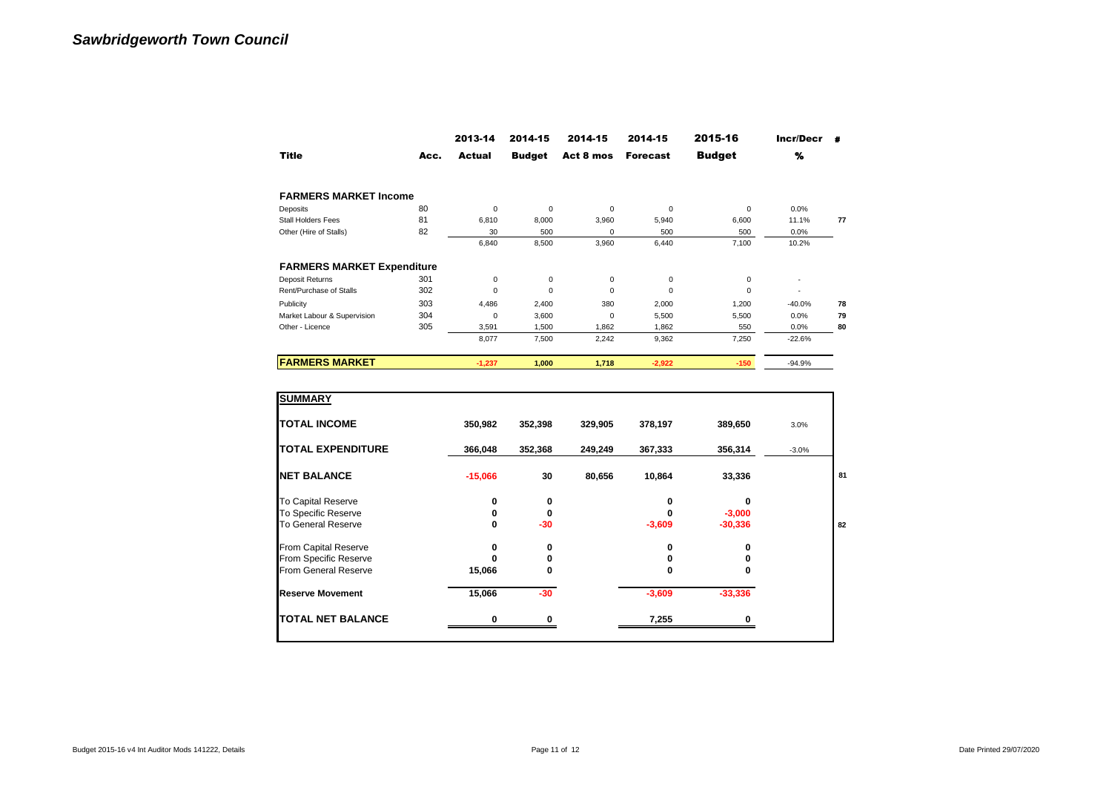|                                   |      | 2013-14     | 2014-15       | 2014-15   | 2014-15         | 2015-16       | Incr/Decr                | 壁  |
|-----------------------------------|------|-------------|---------------|-----------|-----------------|---------------|--------------------------|----|
| <b>Title</b>                      | Acc. | Actual      | <b>Budget</b> | Act 8 mos | <b>Forecast</b> | <b>Budget</b> | %                        |    |
| <b>FARMERS MARKET Income</b>      |      |             |               |           |                 |               |                          |    |
| Deposits                          | 80   | $\Omega$    | 0             | $\Omega$  | $\Omega$        | $\Omega$      | 0.0%                     |    |
| <b>Stall Holders Fees</b>         | 81   | 6,810       | 8,000         | 3,960     | 5,940           | 6.600         | 11.1%                    | 77 |
| Other (Hire of Stalls)            | 82   | 30          | 500           | $\Omega$  | 500             | 500           | 0.0%                     |    |
|                                   |      | 6,840       | 8,500         | 3,960     | 6,440           | 7,100         | 10.2%                    |    |
| <b>FARMERS MARKET Expenditure</b> |      |             |               |           |                 |               |                          |    |
| Deposit Returns                   | 301  | $\mathbf 0$ | 0             | 0         | $\mathbf 0$     | 0             | $\overline{\phantom{a}}$ |    |
| Rent/Purchase of Stalls           | 302  | $\Omega$    | $\Omega$      | $\Omega$  | $\Omega$        | $\Omega$      |                          |    |
| Publicity                         | 303  | 4,486       | 2,400         | 380       | 2,000           | 1,200         | $-40.0%$                 | 78 |
| Market Labour & Supervision       | 304  | $\Omega$    | 3,600         | $\Omega$  | 5,500           | 5,500         | 0.0%                     | 79 |
| Other - Licence                   | 305  | 3,591       | 1,500         | 1,862     | 1,862           | 550           | 0.0%                     | 80 |
|                                   |      | 8,077       | 7,500         | 2,242     | 9,362           | 7,250         | $-22.6%$                 |    |
| <b>FARMERS MARKET</b>             |      | $-1,237$    | 1,000         | 1,718     | $-2,922$        | $-150$        | $-94.9%$                 |    |

| 350,982   | 352,398 | 329,905 | 378,197  | 389,650   | 3.0%    |    |
|-----------|---------|---------|----------|-----------|---------|----|
| 366,048   | 352,368 | 249,249 | 367,333  | 356,314   | $-3.0%$ |    |
| $-15,066$ | 30      | 80,656  | 10,864   | 33,336    |         | 81 |
| 0         | 0       |         | Λ        | Ω         |         |    |
| 0         | 0       |         |          | $-3,000$  |         |    |
| 0         | -30     |         | $-3,609$ | $-30,336$ |         | 82 |
| 0         | 0       |         | Λ        |           |         |    |
|           |         |         |          |           |         |    |
| 15,066    | 0       |         |          |           |         |    |
| 15,066    | $-30$   |         | $-3,609$ | $-33,336$ |         |    |
| 0         |         |         | 7,255    |           |         |    |
|           |         |         |          |           |         |    |